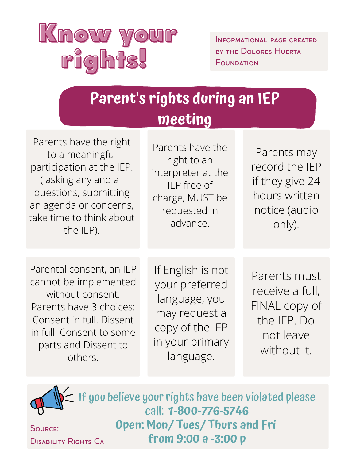

Informational page created by the Dolores Huerta FOUNDATION

| Parent's rights during an IEP<br>meeting                                                                                                            |                                 |                                       |  |
|-----------------------------------------------------------------------------------------------------------------------------------------------------|---------------------------------|---------------------------------------|--|
| Parents have the right<br>to a meaningful<br>$\mathbf{r} = \mathbf{r} \cdot \mathbf{r}$ , and the set of $\mathbf{r} = \mathbf{r} \cdot \mathbf{r}$ | Parents have the<br>right to an | Parents ma<br>ا المصلح المورد من من ا |  |

participation at the IEP. ( asking any and all questions, submitting an agenda or concerns, take time to think about the IEP).

right to an interpreter at the IEP free of charge, MUST be requested in advance.

Parents may record the IEP if they give 24 hours written notice (audio only).

Parental consent, an IEP cannot be implemented without consent. Parents have 3 choices: Consent in full. Dissent in full. Consent to some parts and Dissent to others.

Source:

If English is not your preferred language, you may request a copy of the IEP in your primary language.

Parents must receive a full, FINAL copy of the IEP. Do not leave without it.

Disability Rights Ca If you believe your rights have been violated please call: **1-800-776-5746 Open: Mon/ Tues/ Thurs and Fri from 9:00 a -3:00 p**